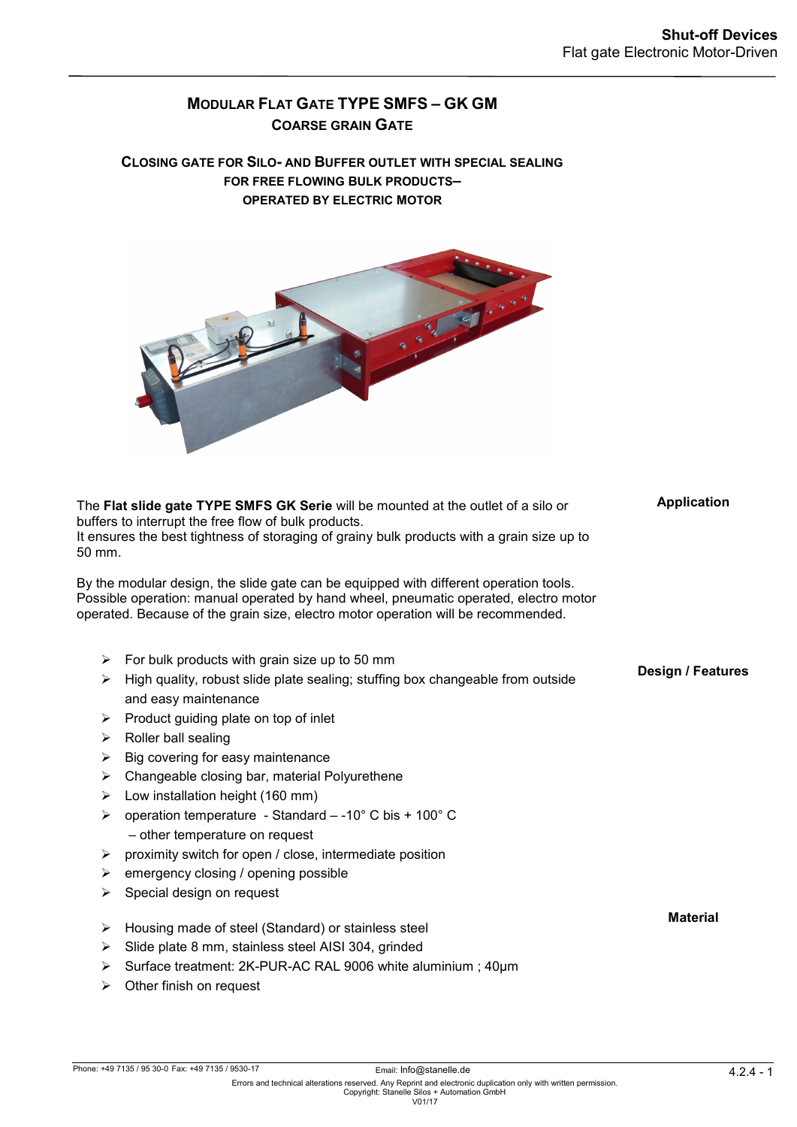**Application**

**Design / Features**

**Material**

# **MODULAR FLAT GATE TYPE SMFS –GK GM COARSE GRAIN GATE**

#### **CLOSING GATE FOR SILO- AND BUFFER OUTLET WITH SPECIAL SEALING FOR FREE FLOWING BULK PRODUCTS– OPERATED BY ELECTRIC MOTOR**



The **Flat slide gate TYPE SMFS GK Serie** will be mounted at the outlet of a silo or buffers to interrupt the free flow of bulk products. It ensures the best tightness of storaging of grainy bulk products with a grain size up to 50 mm.

By the modular design, the slide gate can be equipped with different operation tools. Possible operation: manual operated by hand wheel, pneumatic operated, electro motor operated. Because of the grain size, electro motor operation will be recommended.

- $\triangleright$  For bulk products with grain size up to 50 mm
- $\triangleright$  High quality, robust slide plate sealing; stuffing box changeable from outside and easy maintenance
- $\triangleright$  Product quiding plate on top of inlet
- $\triangleright$  Roller ball sealing
- $\triangleright$  Big covering for easy maintenance
- $\triangleright$  Changeable closing bar, material Polyurethene
- $\triangleright$  Low installation height (160 mm)
- $\triangleright$  operation temperature Standard -10° C bis + 100° C – other temperature on request
- $\triangleright$  proximity switch for open / close, intermediate position
- $\triangleright$  emergency closing / opening possible
- $\triangleright$  Special design on request
- $\triangleright$  Housing made of steel (Standard) or stainless steel
- $\triangleright$  Slide plate 8 mm, stainless steel AISI 304, grinded
- Surface treatment: 2K-PUR-AC RAL 9006 white aluminium ; 40µm
- $\triangleright$  Other finish on request